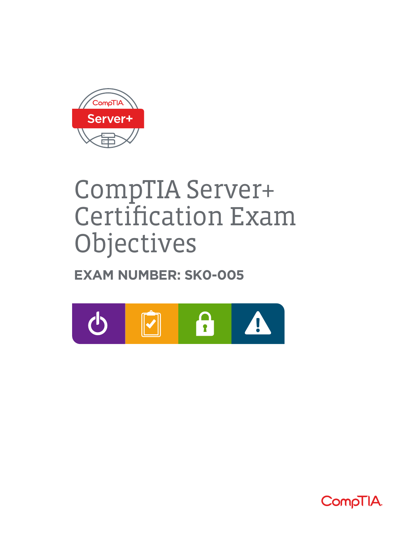

# CompTIA Server+ Certification Exam Objectives

**EXAM NUMBER: SK0-005**



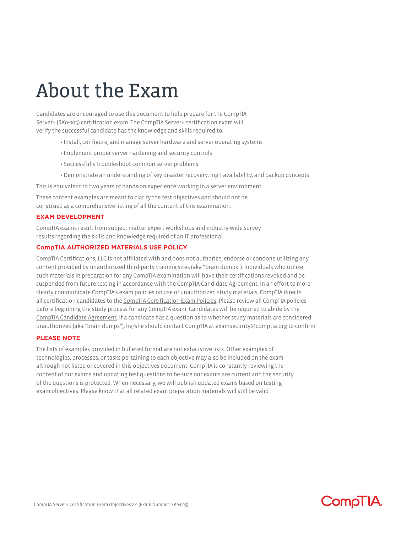# About the Exam

Candidates are encouraged to use this document to help prepare for the CompTIA Server+ (SK0-005) certification exam. The CompTIA Server+ certification exam will verify the successful candidate has the knowledge and skills required to:

- Install, configure, and manage server hardware and server operating systems
- Implement proper server hardening and security controls
- Successfully troubleshoot common server problems
- Demonstrate an understanding of key disaster recovery, high-availability, and backup concepts

This is equivalent to two years of hands-on experience working in a server environment.

These content examples are meant to clarify the test objectives and should not be construed as a comprehensive listing of all the content of this examination.

### **EXAM DEVELOPMENT**

CompTIA exams result from subject matter expert workshops and industry-wide survey results regarding the skills and knowledge required of an IT professional.

### **CompTIA AUTHORIZED MATERIALS USE POLICY**

CompTIA Certifications, LLC is not affiliated with and does not authorize, endorse or condone utilizing any content provided by unauthorized third-party training sites (aka "brain dumps"). Individuals who utilize such materials in preparation for any CompTIA examination will have their certifications revoked and be suspended from future testing in accordance with the CompTIA Candidate Agreement. In an effort to more clearly communicate CompTIA's exam policies on use of unauthorized study materials, CompTIA directs all certification candidates to the CompTIA Certification Exam Policies. Please review all CompTIA policies before beginning the study process for any CompTIA exam. Candidates will be required to abide by the CompTIA Candidate Agreement. If a candidate has a question as to whether study materials are considered unauthorized (aka "brain dumps"), he/she should contact CompTIA at examsecurity@comptia.org to confirm.

### **PLEASE NOTE**

The lists of examples provided in bulleted format are not exhaustive lists. Other examples of technologies, processes, or tasks pertaining to each objective may also be included on the exam although not listed or covered in this objectives document. CompTIA is constantly reviewing the content of our exams and updating test questions to be sure our exams are current and the security of the questions is protected. When necessary, we will publish updated exams based on testing exam objectives. Please know that all related exam preparation materials will still be valid.

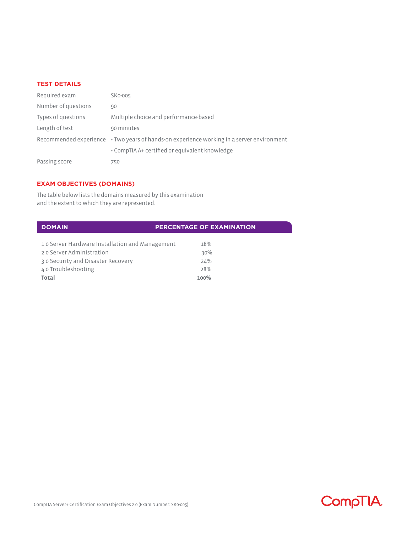### **TEST DETAILS**

| Required exam       | SK0-005                                                                                   |
|---------------------|-------------------------------------------------------------------------------------------|
| Number of questions | 90                                                                                        |
| Types of questions  | Multiple choice and performance-based                                                     |
| Length of test      | 90 minutes                                                                                |
|                     | Recommended experience • Two years of hands-on experience working in a server environment |
|                     | • CompTIA A+ certified or equivalent knowledge                                            |
| Passing score       | 750                                                                                       |

### **EXAM OBJECTIVES (DOMAINS)**

The table below lists the domains measured by this examination and the extent to which they are represented.

| <b>DOMAIN</b>                                   | <b>PERCENTAGE OF EXAMINATION</b> |
|-------------------------------------------------|----------------------------------|
|                                                 |                                  |
| 1.0 Server Hardware Installation and Management | 18%                              |
| 2.0 Server Administration                       | 30%                              |
| 3.0 Security and Disaster Recovery              | 24%                              |
| 4.0 Troubleshooting                             | 28%                              |
| Total                                           | $100\%$                          |

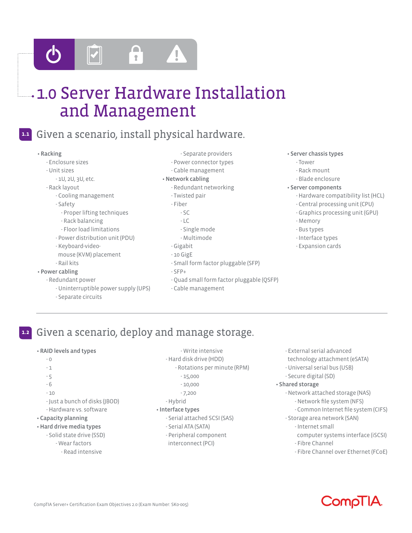# 1.0 Server Hardware Installation and Management

### Given a scenario, install physical hardware. **1.1**

n.

 $\mathbf{r}$ 

- Racking
	- Enclosure sizes
	- Unit sizes
	- 1U, 2U, 3U, etc.
	- Rack layout
		- Cooling management
		- Safety
		- Proper lifting techniques

 $\overline{\blacktriangledown}$ 

- Rack balancing
- Floor load limitations
- Power distribution unit (PDU)
- Keyboard-video-
- mouse (KVM) placement
- Rail kits
- Power cabling
	- Redundant power
		- Uninterruptible power supply (UPS)
		- Separate circuits
- Separate providers
- Power connector types
- Cable management

### • Network cabling

- Redundant networking
- Twisted pair
- Fiber
	- SC
	- $-1$  C
	- Single mode
	- Multimode
- Gigabit
- 10 GigE
- Small form factor pluggable (SFP)
- SFP+
- Quad small form factor pluggable (QSFP)
- Cable management

### • Server chassis types

- Tower
- Rack mount
- Blade enclosure

### • Server components

- Hardware compatibility list (HCL)
- Central processing unit (CPU)
- Graphics processing unit (GPU)
- Memory
- Bus types
- Interface types
- Expansion cards

### Given a scenario, deploy and manage storage. **1.2**

### • RAID levels and types

- 0
- 1
- 5
- 6
- 10
- Just a bunch of disks (JBOD)
- Hardware vs. software
- Capacity planning
- Hard drive media types

- Solid state drive (SSD)
	- Wear factors
		- Read intensive
- Write intensive
- Hard disk drive (HDD)
	- Rotations per minute (RPM)
		- 15,000
		- 10,000

### • Interface types

- 
- 
- Peripheral component
- interconnect (PCI)
- External serial advanced
- technology attachment (eSATA)
- Universal serial bus (USB)
- Secure digital (SD)

### • Shared storage

- Network attached storage (NAS)
	- Network file system (NFS)
	- Common Internet file system (CIFS)
- Storage area network (SAN)
	- Internet small
	- computer systems interface (iSCSI)
	- Fibre Channel
	- Fibre Channel over Ethernet (FCoE)



### - 7,200 - Hybrid

- Serial attached SCSI (SAS)
- Serial ATA (SATA)
-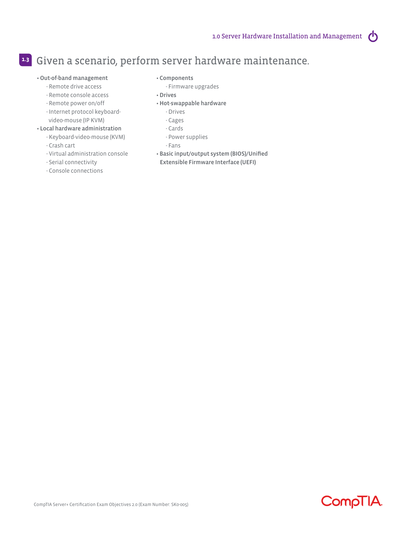# Given a scenario, perform server hardware maintenance. **1.3**

### • Out-of-band management

- Remote drive access
- Remote console access
- Remote power on/off
- Internet protocol keyboard video-mouse (IP KVM)
- Local hardware administration
	- Keyboard-video-mouse (KVM) - Crash cart
	-
	- Virtual administration console
	- Serial connectivity
	- Console connections

### • Components

- Firmware upgrades
- Drives
- Hot-swappable hardware
	- Drives
	- Cages
	- Cards
	- Power supplies
	- Fans
- Basic input/output system (BIOS)/Unified
- Extensible Firmware Interface (UEFI)

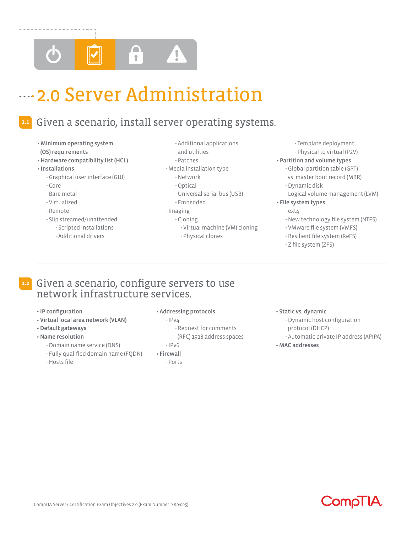

# 2.0 Server Administration

## Given a scenario, install server operating systems.

- Minimum operating system (OS) requirements
- Hardware compatibility list (HCL)
- Installations
	- Graphical user interface (GUI) - Core
	- Bare metal
	- Virtualized
	- Remote
	- Slip streamed/unattended - Scripted installations - Additional drivers
- Additional applications
- and utilities
- Patches
- Media installation type
	- Network
	- Optical
	- Universal serial bus (USB)
	- Embedded
- Imaging
	- Cloning
	- Virtual machine (VM) cloning
	- Physical clones
- Template deployment
- Physical to virtual (P2V)
- Partition and volume types
	- Global partition table (GPT) vs. master boot record (MBR)
	- Dynamic disk
	- Logical volume management (LVM)
- File system types
	- ext4
	- New technology file system (NTFS)
	- VMware file system (VMFS)
	- Resilient file system (ReFS)
	- Z file system (ZFS)

## Given a scenario, configure servers to use **2.2** network infrastructure services.

- IP configuration
- Virtual local area network (VLAN)
- Default gateways
- Name resolution
	- Domain name service (DNS)
	- Fully qualified domain name (FQDN)
	- Hosts file

### • Addressing protocols

- $IPV4$ 
	- Request for comments
	- (RFC) 1918 address spaces
- IPv6
- Firewall
	- Ports

### • Static vs. dynamic

- Dynamic host configuration
- protocol (DHCP)
- Automatic private IP address (APIPA)
- MAC addresses

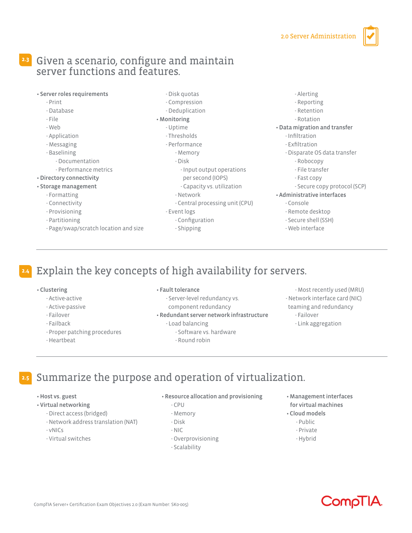## Given a scenario, configure and maintain **2.3** server functions and features.

- Server roles requirements
	- Print
	- Database
	- File
	- Web
	- Application
	- Messaging
	- Baselining
	- Documentation
	- Performance metrics
- Directory connectivity
- Storage management
	- Formatting
	- Connectivity
	- Provisioning
	- Partitioning
	- Page/swap/scratch location and size
- Disk quotas
- Compression
- Deduplication
- Monitoring
	- Uptime
	- Thresholds
	- Performance
	- Memory
		- Disk
			- Input output operations
			- per second (IOPS)
		- Capacity vs. utilization
		- Network
		- Central processing unit (CPU)
	- Event logs
		- Configuration
		- Shipping
- Alerting
- Reporting
- Retention
- Rotation
- Data migration and transfer
	- Infiltration
	- Exfiltration
	- Disparate OS data transfer
		- Robocopy
		- File transfer
		- Fast copy
		- Secure copy protocol (SCP)
- Administrative interfaces
	- Console
	- Remote desktop
	- Secure shell (SSH)
	- Web interface

### Explain the key concepts of high availability for servers. **2.4**

- Clustering
	- Active-active
	- Active-passive
	- Failover
	- Failback
	- Proper patching procedures
	- Heartbeat

### • Fault tolerance

- Server-level redundancy vs.

- component redundancy
- Redundant server network infrastructure
	- Load balancing
	- Software vs. hardware
		- Round robin
- Most recently used (MRU) - Network interface card (NIC) teaming and redundancy
	- Failover
	- Link aggregation

# Summarize the purpose and operation of virtualization.

**2.5**

- Host vs. guest
- Virtual networking
	- Direct access (bridged)
	- Network address translation (NAT)
	- vNICs
	- Virtual switches
- Resource allocation and provisioning
	- CPU
	- Memory
	- Disk
	- NIC
	- Overprovisioning
	- Scalability
- Management interfaces
- for virtual machines
- Cloud models
	- Public
	- Private
	- Hybrid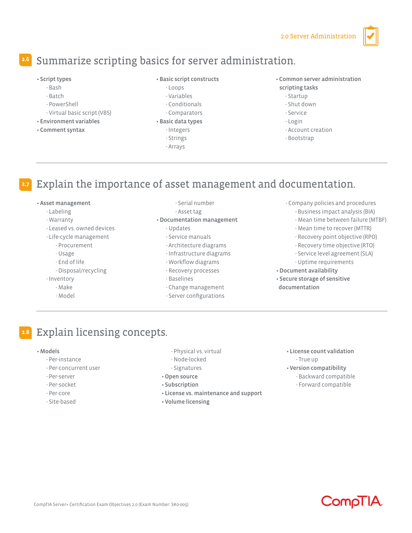

# Summarize scripting basics for server administration. **2.6**

### • Script types

- Bash
- Batch
- PowerShell
- Virtual basic script (VBS)
- Environment variables
- Comment syntax

### • Basic script constructs

- Loops
- Variables
- Conditionals
- Comparators • Basic data types

## - Integers

- Strings
- Arrays

### • Common server administration

### scripting tasks

- Startup
- Shut down
- Service
- Login
- Account creation
- Bootstrap

### Explain the importance of asset management and documentation. **2.7**

### • Asset management

- Labeling
- Warranty
- Leased vs. owned devices
- Life-cycle management
	- Procurement
	- Usage
	- End of life
	- Disposal/recycling
- Inventory
- Make
	- Model
- Serial number
- Asset tag
- Documentation management
	- Updates
	- Service manuals
	- Architecture diagrams
	- Infrastructure diagrams
	- Workflow diagrams
	- Recovery processes
	- Baselines
	- Change management
	- Server configurations
- Company policies and procedures
	- Business impact analysis (BIA)
	- Mean time between failure (MTBF)
	- Mean time to recover (MTTR)
	- Recovery point objective (RPO)
	- Recovery time objective (RTO)
	- Service level agreement (SLA)
	- Uptime requirements
- Document availability
- Secure storage of sensitive documentation

### Explain licensing concepts. **2.8**

### • Models

- Per-instance
- Per-concurrent user
- Per-server
- Per-socket
- Per-core
- Site-based
- Physical vs. virtual
- Node-locked
- Signatures
- Open source
- Subscription
- License vs. maintenance and support
- Volume licensing
- License count validation
	- True up
- Version compatibility
	- Backward compatible
	- Forward compatible

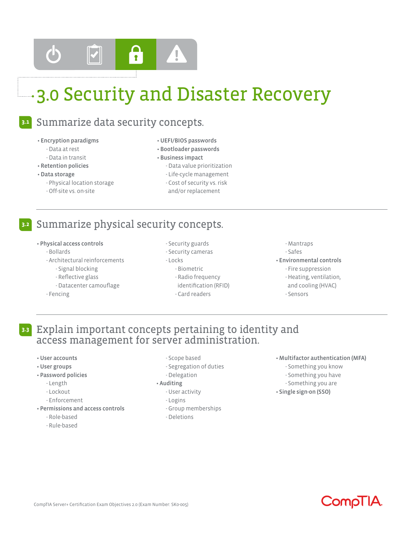

# 3.0 Security and Disaster Recovery

### Summarize data security concepts. **3.1**

- Encryption paradigms
	- Data at rest
	- Data in transit
- Retention policies
- Data storage
	- Physical location storage
	- Off-site vs. on-site
- UEFI/BIOS passwords
- Bootloader passwords
- Business impact
	- Data value prioritization
	- Life-cycle management
	- Cost of security vs. risk
	- and/or replacement

### Summarize physical security concepts. **3.2**

- Physical access controls
	- Bollards
	- Architectural reinforcements
		- Signal blocking
		- Reflective glass
		- Datacenter camouflage
	- Fencing
- Security guards - Security cameras
- Locks
	- Biometric - Radio frequency
	- identification (RFID) - Card readers
- Mantraps - Safes • Environmental controls - Fire suppression - Heating, ventilation, and cooling (HVAC) - Sensors

## Explain important concepts pertaining to identity and **3.3** access management for server administration.

- User accounts
- User groups
- Password policies
	- Length
	- Lockout
	- Enforcement
- Permissions and access controls
	- Role-based
	- Rule-based
- Scope based
- Segregation of duties
- Delegation
- Auditing
	- User activity
	- Logins
	- Group memberships
	- Deletions
- Multifactor authentication (MFA)
	- Something you know
	- Something you have
	- Something you are
- Single sign-on (SSO)

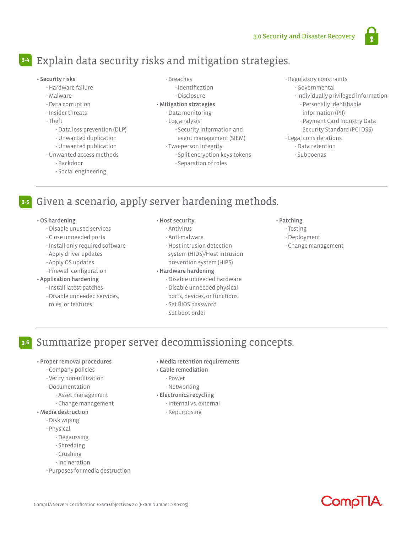# Explain data security risks and mitigation strategies. **3.4**

### • Security risks

- Hardware failure
- Malware
- Data corruption
- Insider threats
- Theft
	- Data loss prevention (DLP)
	- Unwanted duplication
	- Unwanted publication
- Unwanted access methods
	- Backdoor
	- Social engineering
- Breaches
- Identification
- Disclosure

### • Mitigation strategies

- Data monitoring - Log analysis
	- Security information and
	- event management (SIEM)
- Two-person integrity
	- Split encryption keys tokens
		- Separation of roles

- Regulatory constraints - Governmental - Individually privileged information - Personally identifiable information (PII) - Payment Card Industry Data Security Standard (PCI DSS) - Legal considerations - Data retention - Subpoenas

### Given a scenario, apply server hardening methods. **3.5**

### • OS hardening

- Disable unused services
- Close unneeded ports
- Install only required software
- Apply driver updates
- Apply OS updates
- Firewall configuration
- Application hardening
	- Install latest patches
	- Disable unneeded services, roles, or features

### • Host security

- Antivirus
- Anti-malware
- Host intrusion detection system (HIDS)/Host intrusion prevention system (HIPS)

### • Hardware hardening

- Disable unneeded hardware
- Disable unneeded physical
- ports, devices, or functions
- Set BIOS password
- Set boot order

### • Patching

- Testing
- Deployment
- Change management

Summarize proper server decommissioning concepts. **3.6**

### • Proper removal procedures

- Company policies
- Verify non-utilization
- Documentation
	- Asset management
	- Change management
- Media destruction
	- Disk wiping
	- Physical
		- Degaussing
		- Shredding
		- Crushing
		- Incineration
	- Purposes for media destruction

• Media retention requirements

### • Cable remediation

- Power
- Networking
- Electronics recycling
	- Internal vs. external
	- Repurposing

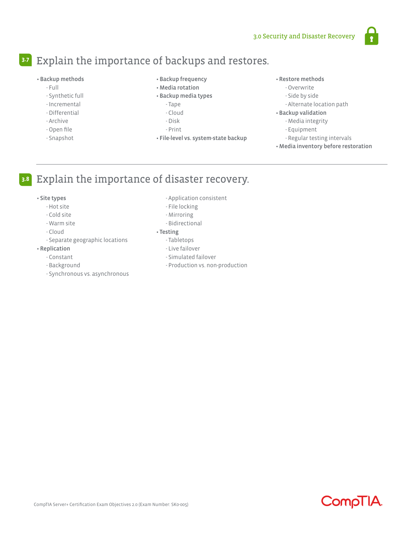# **B37** Explain the importance of backups and restores.

### • Backup methods

- Full
- Synthetic full
- Incremental
- Differential
- Archive
- Open file
- Snapshot

### • Backup frequency

- Media rotation
- Backup media types
	- Tape
	- Cloud
	- Disk
	- Print
- File-level vs. system-state backup

### • Restore methods

- Overwrite
- Side by side
- Alternate location path
- Backup validation
	- Media integrity
	- Equipment
	- Regular testing intervals
- Media inventory before restoration

# Explain the importance of disaster recovery. **3.8**

### • Site types

- Hot site
- Cold site
- Warm site
- Cloud
- Separate geographic locations

### • Replication

- Constant
- Background
- Synchronous vs. asynchronous
- Application consistent
- File locking
- Mirroring
- Bidirectional

### • Testing

- Tabletops
- Live failover
- Simulated failover
- Production vs. non-production

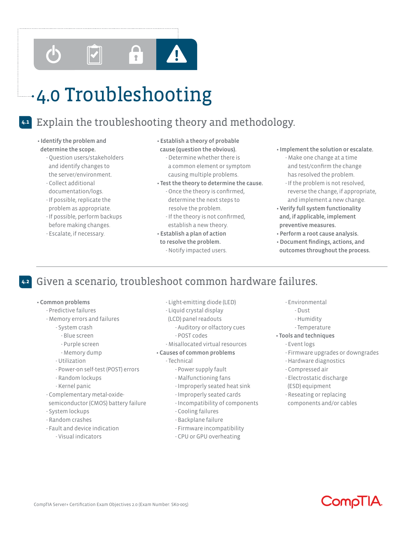

∩  $\mathbf{r}$ 

### Explain the troubleshooting theory and methodology. **4.1**

- Identify the problem and determine the scope.
	- Question users/stakeholders and identify changes to the server/environment.
	- Collect additional
	- documentation/logs.
	- If possible, replicate the
	- problem as appropriate.
	- If possible, perform backups before making changes.
	- Escalate, if necessary.
- Establish a theory of probable cause (question the obvious).
	- Determine whether there is a common element or symptom causing multiple problems.
- Test the theory to determine the cause. - Once the theory is confirmed, determine the next steps to
	- resolve the problem. - If the theory is not confirmed,
- establish a new theory. • Establish a plan of action
- to resolve the problem.
- Notify impacted users.
- Implement the solution or escalate.
	- Make one change at a time and test/confirm the change has resolved the problem.
	- If the problem is not resolved, reverse the change, if appropriate, and implement a new change.
- Verify full system functionality and, if applicable, implement preventive measures.
- Perform a root cause analysis.
- Document findings, actions, and outcomes throughout the process.

### Given a scenario, troubleshoot common hardware failures. **4.2**

### • Common problems

- Predictive failures
- Memory errors and failures
	- System crash
		- Blue screen
		- Purple screen
		- Memory dump
	- Utilization
	- Power-on self-test (POST) errors
	- Random lockups
	- Kernel panic
- Complementary metal-oxide semiconductor (CMOS) battery failure
- System lockups
- Random crashes
- Fault and device indication
	- Visual indicators
- Light-emitting diode (LED)
- 
- (LCD) panel readouts
- Auditory or olfactory cues
- POST codes
- Misallocated virtual resources
- Causes of common problems
	- - Power supply fault
		- Malfunctioning fans
		- Improperly seated heat sink
		- Improperly seated cards
		- Incompatibility of components
		- Cooling failures
		- Backplane failure
		- Firmware incompatibility
		- CPU or GPU overheating
- Environmental
	- Dust
	- Humidity
	- Temperature
- Tools and techniques
	- Event logs
	- Firmware upgrades or downgrades
	- Hardware diagnostics
	- Compressed air
	- Electrostatic discharge (ESD) equipment
	- Reseating or replacing
	- components and/or cables

Compili

- Liquid crystal display
- -
	-
	- Technical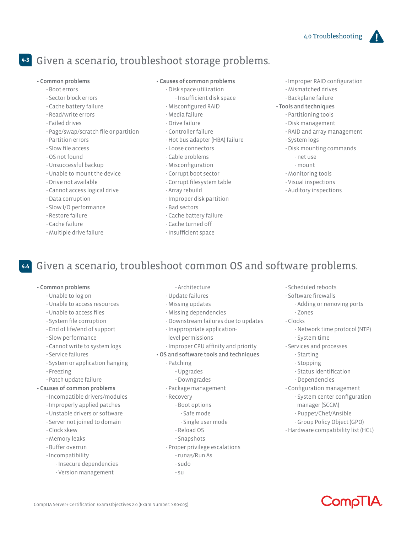# Given a scenario, troubleshoot storage problems. **4.3**

### • Common problems

- Boot errors
- Sector block errors
- Cache battery failure
- Read/write errors
- Failed drives
- Page/swap/scratch file or partition
- Partition errors
- Slow file access
- OS not found
- Unsuccessful backup
- Unable to mount the device
- Drive not available
- Cannot access logical drive
- Data corruption
- Slow I/O performance
- Restore failure
- Cache failure
- Multiple drive failure

### • Causes of common problems

- Disk space utilization
- Insufficient disk space
- Misconfigured RAID
- Media failure
- Drive failure
- Controller failure
- Hot bus adapter (HBA) failure
- Loose connectors
- Cable problems
- Misconfiguration
- Corrupt boot sector
- Corrupt filesystem table
- Array rebuild
- Improper disk partition
- Bad sectors
- Cache battery failure
- Cache turned off
- Insufficient space
- Improper RAID configuration
- Mismatched drives
- Backplane failure
- Tools and techniques
	- Partitioning tools
	- Disk management
	- RAID and array management
	- System logs
	- Disk mounting commands
		- net use
		- mount
	- Monitoring tools
	- Visual inspections
	- Auditory inspections

- Scheduled reboots - Software firewalls

 - System time - Services and processes - Starting - Stopping

 - Status identification - Dependencies - Configuration management - System center configuration

 manager (SCCM) - Puppet/Chef/Ansible - Group Policy Object (GPO) - Hardware compatibility list (HCL)

**CompTIA** 

 - Zones - Clocks

- Adding or removing ports

- Network time protocol (NTP)

## Given a scenario, troubleshoot common OS and software problems. **4.4**

### • Common problems

- Unable to log on
- Unable to access resources
- Unable to access files
- System file corruption
- End of life/end of support
- Slow performance
- Cannot write to system logs
- Service failures
- System or application hanging
- Freezing
- Patch update failure
- Causes of common problems
- Incompatible drivers/modules
	- Improperly applied patches
	- Unstable drivers or software
	- Server not joined to domain
	- Clock skew
	- Memory leaks
	- Buffer overrun
	- Incompatibility
		- Insecure dependencies
		- Version management

CompTIA Server+ Certification Exam Objectives 2.0 (Exam Number: SK0-005)

- Architecture
- Update failures
- Missing updates
- Missing dependencies
- Downstream failures due to updates
- Inappropriate application level permissions
- Improper CPU affinity and priority
- OS and software tools and techniques
	- Patching
		- Upgrades
		- Downgrades
	- Package management
	- Recovery
		- Boot options
		- Safe mode
		- Single user mode
		- Reload OS
		- Snapshots
	- Proper privilege escalations
		- runas/Run As
		- sudo
		- su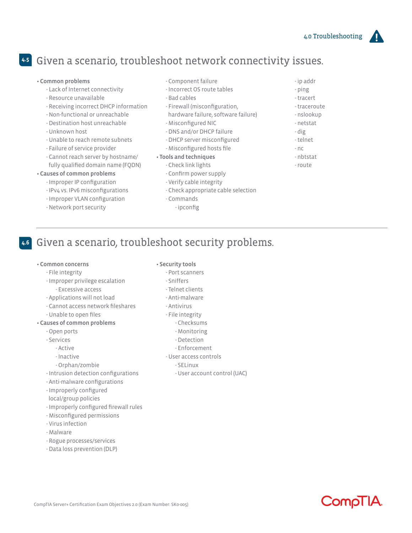# Given a scenario, troubleshoot network connectivity issues. **4.5**

### • Common problems

- Lack of Internet connectivity
- Resource unavailable
- Receiving incorrect DHCP information
- Non-functional or unreachable
- Destination host unreachable
- Unknown host
- Unable to reach remote subnets
- Failure of service provider
- Cannot reach server by hostname/ fully qualified domain name (FQDN)

### • Causes of common problems

- Improper IP configuration
- IPv4 vs. IPv6 misconfigurations
- Improper VLAN configuration

- Improper privilege escalation - Excessive access - Applications will not load - Cannot access network fileshares

- Network port security

- Component failure
- Incorrect OS route tables
- Bad cables
- Firewall (misconfiguration,
- hardware failure, software failure)
- Misconfigured NIC
- DNS and/or DHCP failure
- DHCP server misconfigured
- Misconfigured hosts file
- Tools and techniques
	- Check link lights
	- Confirm power supply
	- Verify cable integrity
	- Check appropriate cable selection
	- Commands
		- ipconfig
- ip addr
- ping
- tracert
- traceroute
- nslookup
- netstat
- dig
- telnet
- nc
- nbtstat - route

Given a scenario, troubleshoot security problems. **4.6**

### • Common concerns

- Open ports - Services - Active - Inactive - Orphan/zombie

- File integrity

- Unable to open files • Causes of common problems

- 
- Sniffers
- Telnet clients
- Anti-malware
- Antivirus
- - Checksums
	- Monitoring
	- Detection
- Enforcement
- User access controls
	-
- Anti-malware configurations
- Improperly configured
- local/group policies
- Improperly configured firewall rules

- Intrusion detection configurations

- Misconfigured permissions
- Virus infection
- Malware
- Rogue processes/services
- Data loss prevention (DLP)



### • Security tools

- Port scanners
- 
- 
- 
- 
- File integrity
	-
	-
	-
	-
	- - SELinux
		- User account control (UAC)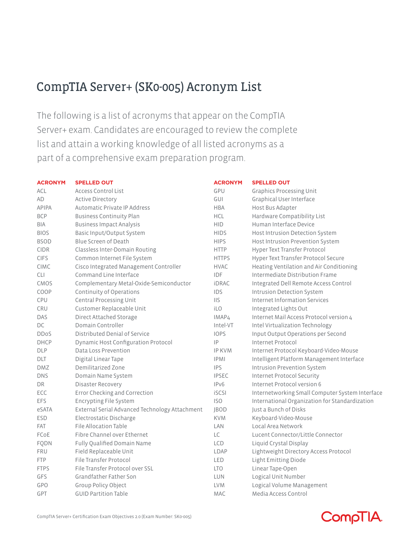# CompTIA Server+ (SK0-005) Acronym List

The following is a list of acronyms that appear on the CompTIA Server+ exam. Candidates are encouraged to review the complete list and attain a working knowledge of all listed acronyms as a part of a comprehensive exam preparation program.

| <b>ACRONYM</b> | <b>SPELLED OUT</b>                             | <b>ACRONYM</b>   | <b>SPELLED OUT</b>                              |
|----------------|------------------------------------------------|------------------|-------------------------------------------------|
| <b>ACL</b>     | <b>Access Control List</b>                     | GPU              | <b>Graphics Processing Unit</b>                 |
| <b>AD</b>      | <b>Active Directory</b>                        | GUI              | Graphical User Interface                        |
| <b>APIPA</b>   | Automatic Private IP Address                   | <b>HBA</b>       | Host Bus Adapter                                |
| <b>BCP</b>     | <b>Business Continuity Plan</b>                | <b>HCL</b>       | Hardware Compatibility List                     |
| BIA            | <b>Business Impact Analysis</b>                | <b>HID</b>       | Human Interface Device                          |
| <b>BIOS</b>    | Basic Input/Output System                      | <b>HIDS</b>      | Host Intrusion Detection System                 |
| <b>BSOD</b>    | Blue Screen of Death                           | <b>HIPS</b>      | Host Intrusion Prevention System                |
| CIDR           | Classless Inter-Domain Routing                 | <b>HTTP</b>      | Hyper Text Transfer Protocol                    |
| <b>CIFS</b>    | Common Internet File System                    | <b>HTTPS</b>     | Hyper Text Transfer Protocol Secure             |
| <b>CIMC</b>    | Cisco Integrated Management Controller         | <b>HVAC</b>      | Heating Ventilation and Air Conditioning        |
| <b>CLI</b>     | Command Line Interface                         | <b>IDF</b>       | Intermediate Distribution Frame                 |
| CMOS           | Complementary Metal-Oxide-Semiconductor        | <b>iDRAC</b>     | Integrated Dell Remote Access Control           |
| COOP           | Continuity of Operations                       | IDS              | <b>Intrusion Detection System</b>               |
| CPU            | Central Processing Unit                        | <b>IIS</b>       | <b>Internet Information Services</b>            |
| <b>CRU</b>     | Customer Replaceable Unit                      | iLO              | Integrated Lights Out                           |
| DAS            | Direct Attached Storage                        | IMAP4            | Internet Mail Access Protocol version 4         |
| DC             | Domain Controller                              | Intel-VT         | Intel Virtualization Technology                 |
| <b>DDoS</b>    | Distributed Denial of Service                  | <b>IOPS</b>      | Input Output Operations per Second              |
| <b>DHCP</b>    | Dynamic Host Configuration Protocol            | IP               | Internet Protocol                               |
| <b>DLP</b>     | Data Loss Prevention                           | <b>IP KVM</b>    | Internet Protocol Keyboard-Video-Mouse          |
| <b>DLT</b>     | Digital Linear Tape                            | <b>IPMI</b>      | Intelligent Platform Management Interface       |
| <b>DMZ</b>     | Demilitarized Zone                             | <b>IPS</b>       | <b>Intrusion Prevention System</b>              |
| <b>DNS</b>     | Domain Name System                             | <b>IPSEC</b>     | <b>Internet Protocol Security</b>               |
| DR             | Disaster Recovery                              | IP <sub>V6</sub> | Internet Protocol version 6                     |
| ECC            | Error Checking and Correction                  | iSCSI            | Internetworking Small Computer System Interface |
| EFS            | <b>Encrypting File System</b>                  | ISO              | International Organization for Standardization  |
| eSATA          | External Serial Advanced Technology Attachment | <b>JBOD</b>      | Just a Bunch of Disks                           |
| <b>ESD</b>     | Electrostatic Discharge                        | <b>KVM</b>       | Keyboard-Video-Mouse                            |
| FAT            | File Allocation Table                          | LAN              | Local Area Network                              |
| FCoE           | Fibre Channel over Ethernet                    | LC               | Lucent Connector/Little Connector               |
| FQDN           | Fully Qualified Domain Name                    | LCD              | Liquid Crystal Display                          |
| <b>FRU</b>     | Field Replaceable Unit                         | LDAP             | Lightweight Directory Access Protocol           |
| <b>FTP</b>     | File Transfer Protocol                         | <b>LED</b>       | Light Emitting Diode                            |
| <b>FTPS</b>    | File Transfer Protocol over SSL                | LTO              | Linear Tape-Open                                |
| GFS            | Grandfather Father Son                         | <b>LUN</b>       | Logical Unit Number                             |
| GPO            | Group Policy Object                            | <b>LVM</b>       | Logical Volume Management                       |
| GPT            | <b>GUID Partition Table</b>                    | <b>MAC</b>       | Media Access Control                            |

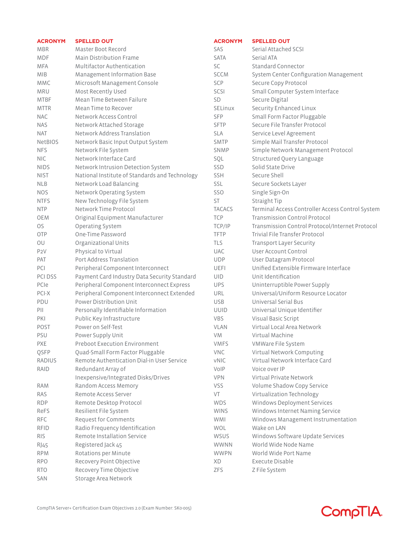| <b>ACRONYM</b>   | <b>SPELLED OUT</b>                             | <b>ACRONYM</b>  | <b>SPELLED OUT</b>                               |
|------------------|------------------------------------------------|-----------------|--------------------------------------------------|
| <b>MBR</b>       | Master Boot Record                             | SAS             | Serial Attached SCSI                             |
| <b>MDF</b>       | Main Distribution Frame                        | <b>SATA</b>     | Serial ATA                                       |
| <b>MFA</b>       | Multifactor Authentication                     | SC              | <b>Standard Connector</b>                        |
| <b>MIB</b>       | Management Information Base                    | <b>SCCM</b>     | System Center Configuration Management           |
| MMC              | Microsoft Management Console                   | <b>SCP</b>      | Secure Copy Protocol                             |
| <b>MRU</b>       | Most Recently Used                             | SCSI            | Small Computer System Interface                  |
| <b>MTBF</b>      | Mean Time Between Failure                      | <b>SD</b>       | Secure Digital                                   |
| <b>MTTR</b>      | Mean Time to Recover                           | SELinux         | Security Enhanced Linux                          |
| <b>NAC</b>       | Network Access Control                         | <b>SFP</b>      | Small Form Factor Pluggable                      |
| <b>NAS</b>       | Network Attached Storage                       | <b>SFTP</b>     | Secure File Transfer Protocol                    |
| <b>NAT</b>       | Network Address Translation                    | <b>SLA</b>      | Service Level Agreement                          |
| NetBIOS          | Network Basic Input Output System              | SMTP            | Simple Mail Transfer Protocol                    |
| <b>NFS</b>       | Network File System                            | <b>SNMP</b>     | Simple Network Management Protocol               |
| <b>NIC</b>       | Network Interface Card                         | SQL             | Structured Query Language                        |
| <b>NIDS</b>      | Network Intrusion Detection System             | SSD             | Solid State Drive                                |
| <b>NIST</b>      | National Institute of Standards and Technology | <b>SSH</b>      | Secure Shell                                     |
| <b>NLB</b>       | Network Load Balancing                         | SSL             | Secure Sockets Layer                             |
|                  |                                                |                 |                                                  |
| <b>NOS</b>       | Network Operating System                       | SS <sub>O</sub> | Single Sign-On                                   |
| <b>NTFS</b>      | New Technology File System                     | <b>ST</b>       | Straight Tip                                     |
| <b>NTP</b>       | Network Time Protocol                          | <b>TACACS</b>   | Terminal Access Controller Access Control System |
| <b>OEM</b>       | Original Equipment Manufacturer                | <b>TCP</b>      | <b>Transmission Control Protocol</b>             |
| OS.              | Operating System                               | TCP/IP          | Transmission Control Protocol/Internet Protocol  |
| <b>OTP</b>       | One-Time Password                              | TFTP            | Trivial File Transfer Protocol                   |
| OU               | Organizational Units                           | <b>TLS</b>      | Transport Layer Security                         |
| P <sub>2</sub> V | Physical to Virtual                            | <b>UAC</b>      | User Account Control                             |
| PAT              | Port Address Translation                       | <b>UDP</b>      | User Datagram Protocol                           |
| PCI              | Peripheral Component Interconnect              | <b>UEFI</b>     | Unified Extensible Firmware Interface            |
| PCI DSS          | Payment Card Industry Data Security Standard   | <b>UID</b>      | Unit Identification                              |
| PCIe             | Peripheral Component Interconnect Express      | <b>UPS</b>      | Uninterruptible Power Supply                     |
| PCI-X            | Peripheral Component Interconnect Extended     | URL             | Universal/Uniform Resource Locator               |
| PDU              | <b>Power Distribution Unit</b>                 | <b>USB</b>      | Universal Serial Bus                             |
| P                | Personally Identifiable Information            | <b>UUID</b>     | Universal Unique Identifier                      |
| PKI              | Public Key Infrastructure                      | <b>VBS</b>      | Visual Basic Script                              |
| POST             | Power on Self-Test                             | <b>VLAN</b>     | Virtual Local Area Network                       |
| PSU              | Power Supply Unit                              | VM              | Virtual Machine                                  |
| <b>PXE</b>       | <b>Preboot Execution Environment</b>           | <b>VMFS</b>     | VMWare File System                               |
| QSFP             | Quad-Small Form Factor Pluggable               | <b>VNC</b>      | Virtual Network Computing                        |
| RADIUS           | Remote Authentication Dial-in User Service     | <b>vNIC</b>     | Virtual Network Interface Card                   |
| <b>RAID</b>      | Redundant Array of                             | VoIP            | Voice over IP                                    |
|                  | Inexpensive/Integrated Disks/Drives            | <b>VPN</b>      | Virtual Private Network                          |
| <b>RAM</b>       | Random Access Memory                           | <b>VSS</b>      | Volume Shadow Copy Service                       |
| RAS              | Remote Access Server                           | VT              | Virtualization Technology                        |
| <b>RDP</b>       | Remote Desktop Protocol                        | <b>WDS</b>      | Windows Deployment Services                      |
| ReFS             | Resilient File System                          | <b>WINS</b>     | Windows Internet Naming Service                  |
| <b>RFC</b>       | <b>Request for Comments</b>                    | <b>WMI</b>      | Windows Management Instrumentation               |
| <b>RFID</b>      | Radio Frequency Identification                 | WOL             | Wake on LAN                                      |
| <b>RIS</b>       | Remote Installation Service                    | <b>WSUS</b>     | Windows Software Update Services                 |
| RJ45             | Registered Jack 45                             | <b>WWNN</b>     | World Wide Node Name                             |
| <b>RPM</b>       | Rotations per Minute                           | <b>WWPN</b>     | World Wide Port Name                             |
| <b>RPO</b>       | Recovery Point Objective                       | <b>XD</b>       | Execute Disable                                  |
| <b>RTO</b>       | Recovery Time Objective                        | ZFS             | Z File System                                    |
| SAN              | Storage Area Network                           |                 |                                                  |